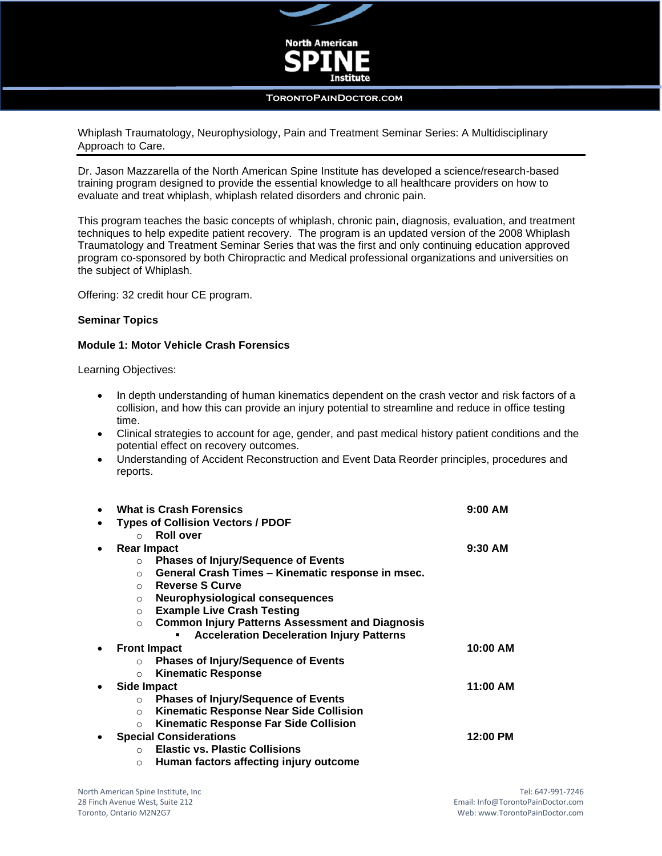

#### **TorontoPainDoctor.com**

Whiplash Traumatology, Neurophysiology, Pain and Treatment Seminar Series: A Multidisciplinary Approach to Care.

Dr. Jason Mazzarella of the North American Spine Institute has developed a science/research-based training program designed to provide the essential knowledge to all healthcare providers on how to evaluate and treat whiplash, whiplash related disorders and chronic pain.

This program teaches the basic concepts of whiplash, chronic pain, diagnosis, evaluation, and treatment techniques to help expedite patient recovery. The program is an updated version of the 2008 Whiplash Traumatology and Treatment Seminar Series that was the first and only continuing education approved program co-sponsored by both Chiropractic and Medical professional organizations and universities on the subject of Whiplash.

Offering: 32 credit hour CE program.

#### **Seminar Topics**

#### **Module 1: Motor Vehicle Crash Forensics**

Learning Objectives:

- In depth understanding of human kinematics dependent on the crash vector and risk factors of a collision, and how this can provide an injury potential to streamline and reduce in office testing time.
- Clinical strategies to account for age, gender, and past medical history patient conditions and the potential effect on recovery outcomes.
- Understanding of Accident Reconstruction and Event Data Reorder principles, procedures and reports.

| $\bullet$ | <b>What is Crash Forensics</b>                                    | $9:00$ AM |
|-----------|-------------------------------------------------------------------|-----------|
| ٠         | <b>Types of Collision Vectors / PDOF</b>                          |           |
|           | <b>Roll over</b><br>$\bigcap$                                     |           |
| $\bullet$ | <b>Rear Impact</b>                                                | $9:30$ AM |
|           | <b>Phases of Injury/Sequence of Events</b><br>$\circ$             |           |
|           | General Crash Times - Kinematic response in msec.<br>$\circ$      |           |
|           | ○ Reverse S Curve                                                 |           |
|           | Neurophysiological consequences<br>$\circ$                        |           |
|           | <b>Example Live Crash Testing</b><br>$\circ$                      |           |
|           | <b>Common Injury Patterns Assessment and Diagnosis</b><br>$\circ$ |           |
|           | <b>Acceleration Deceleration Injury Patterns</b>                  |           |
| $\bullet$ | <b>Front Impact</b>                                               | 10:00 AM  |
|           | <b>Phases of Injury/Sequence of Events</b><br>$\circ$             |           |
|           | <b>Kinematic Response</b><br>$\circ$                              |           |
| $\bullet$ | <b>Side Impact</b>                                                | 11:00 AM  |
|           | <b>Phases of Injury/Sequence of Events</b><br>$\circ$             |           |
|           | <b>Kinematic Response Near Side Collision</b><br>$\circ$          |           |
|           | <b>Kinematic Response Far Side Collision</b><br>$\circ$           |           |
|           | <b>Special Considerations</b>                                     | 12:00 PM  |
|           | <b>Elastic vs. Plastic Collisions</b><br>$\Omega$                 |           |
|           | Human factors affecting injury outcome<br>$\circ$                 |           |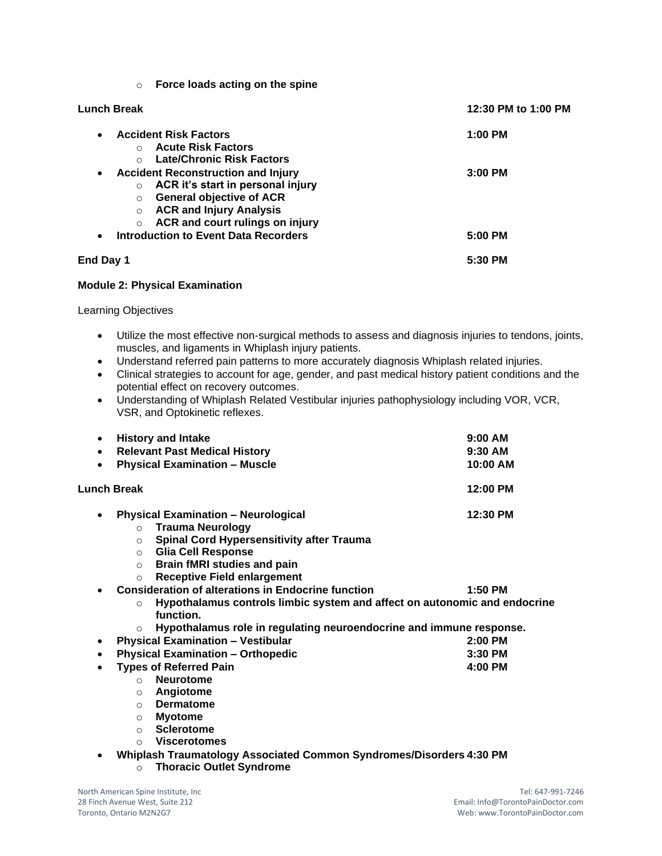| $\circ$ |  | Force loads acting on the spine |  |  |
|---------|--|---------------------------------|--|--|
|         |  |                                 |  |  |

| Lunch Break                                                                                                                                                                                                                                     | 12:30 PM to 1:00 PM |  |
|-------------------------------------------------------------------------------------------------------------------------------------------------------------------------------------------------------------------------------------------------|---------------------|--|
| <b>Accident Risk Factors</b><br>$\bullet$<br><b>Acute Risk Factors</b><br>$\bigcirc$<br><b>Late/Chronic Risk Factors</b><br>$\circ$                                                                                                             | $1:00$ PM           |  |
| <b>Accident Reconstruction and Injury</b><br>$\bullet$<br>ACR it's start in personal injury<br>$\circ$<br><b>General objective of ACR</b><br>$\circ$<br><b>ACR and Injury Analysis</b><br>$\circ$<br>ACR and court rulings on injury<br>$\circ$ | $3:00$ PM           |  |
| <b>Introduction to Event Data Recorders</b><br>$\bullet$                                                                                                                                                                                        | 5:00 PM             |  |
| End Day 1                                                                                                                                                                                                                                       | 5:30 PM             |  |

### **Module 2: Physical Examination**

Learning Objectives

- Utilize the most effective non-surgical methods to assess and diagnosis injuries to tendons, joints, muscles, and ligaments in Whiplash injury patients.
- Understand referred pain patterns to more accurately diagnosis Whiplash related injuries.
- Clinical strategies to account for age, gender, and past medical history patient conditions and the potential effect on recovery outcomes.
- Understanding of Whiplash Related Vestibular injuries pathophysiology including VOR, VCR, VSR, and Optokinetic reflexes.

| <b>History and Intake</b><br>٠                                                                    | $9:00$ AM |
|---------------------------------------------------------------------------------------------------|-----------|
| <b>Relevant Past Medical History</b><br>$\bullet$                                                 | $9:30$ AM |
| <b>Physical Examination - Muscle</b><br>$\bullet$                                                 | 10:00 AM  |
| Lunch Break                                                                                       | 12:00 PM  |
| <b>Physical Examination - Neurological</b><br>$\bullet$                                           | 12:30 PM  |
| <b>Trauma Neurology</b><br>$\circ$                                                                |           |
| <b>Spinal Cord Hypersensitivity after Trauma</b><br>$\circ$                                       |           |
| <b>Glia Cell Response</b><br>$\circ$                                                              |           |
| <b>Brain fMRI studies and pain</b><br>$\circ$                                                     |           |
| <b>Receptive Field enlargement</b><br>$\circ$                                                     |           |
| <b>Consideration of alterations in Endocrine function</b>                                         | $1:50$ PM |
| Hypothalamus controls limbic system and affect on autonomic and endocrine<br>$\circ$<br>function. |           |
| Hypothalamus role in regulating neuroendocrine and immune response.<br>$\circ$                    |           |
| <b>Physical Examination - Vestibular</b><br>٠                                                     | $2:00$ PM |
| <b>Physical Examination - Orthopedic</b><br>٠                                                     | $3:30$ PM |
| <b>Types of Referred Pain</b><br>$\bullet$                                                        | 4:00 PM   |
| <b>Neurotome</b><br>$\Omega$                                                                      |           |
| Angiotome<br>$\circ$                                                                              |           |
| <b>Dermatome</b><br>$\circ$                                                                       |           |
| <b>Myotome</b><br>$\circ$                                                                         |           |
| <b>Sclerotome</b><br>$\circ$                                                                      |           |
| <b>Viscerotomes</b><br>$\circ$                                                                    |           |

- **Whiplash Traumatology Associated Common Syndromes/Disorders 4:30 PM**
	- o **Thoracic Outlet Syndrome**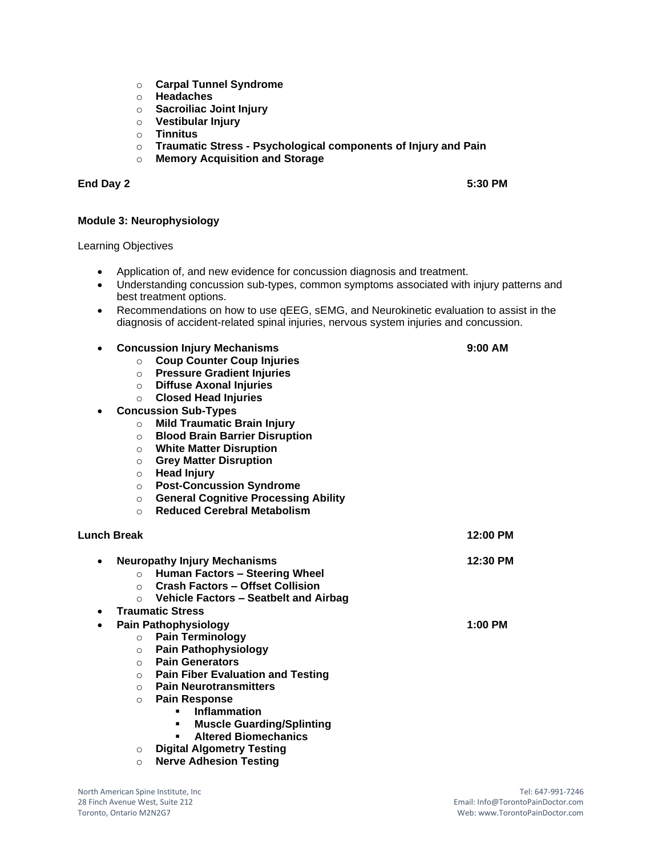- o **Carpal Tunnel Syndrome**
- o **Headaches**
- o **Sacroiliac Joint Injury**
- o **Vestibular Injury**
- o **Tinnitus**
- o **Traumatic Stress - Psychological components of Injury and Pain**
- o **Memory Acquisition and Storage**

### **End Day 2 5:30 PM**

# **Module 3: Neurophysiology**

Learning Objectives

- Application of, and new evidence for concussion diagnosis and treatment.
- Understanding concussion sub-types, common symptoms associated with injury patterns and best treatment options.
- Recommendations on how to use qEEG, sEMG, and Neurokinetic evaluation to assist in the diagnosis of accident-related spinal injuries, nervous system injuries and concussion.
- **Concussion Injury Mechanisms 9:00 AM**
	- o **Coup Counter Coup Injuries**
	- o **Pressure Gradient Injuries**
	- o **Diffuse Axonal Injuries**
	- o **Closed Head Injuries**
- **Concussion Sub-Types**
	- o **Mild Traumatic Brain Injury**
	- o **Blood Brain Barrier Disruption**
	- o **White Matter Disruption**
	- o **Grey Matter Disruption**
	- **Head Injury**
	- o **Post-Concussion Syndrome**
	- o **General Cognitive Processing Ability**
	- o **Reduced Cerebral Metabolism**

# **Lunch Break 12:00 PM**

|           |            | <b>Neuropathy Injury Mechanisms</b>      | 12:30 PM |
|-----------|------------|------------------------------------------|----------|
|           | $\Omega$   | <b>Human Factors - Steering Wheel</b>    |          |
|           | $\bigcirc$ | <b>Crash Factors - Offset Collision</b>  |          |
|           | $\circ$    | Vehicle Factors - Seatbelt and Airbag    |          |
| $\bullet$ |            | <b>Traumatic Stress</b>                  |          |
| ٠         |            | <b>Pain Pathophysiology</b>              | 1:00 PM  |
|           | $\circ$    | <b>Pain Terminology</b>                  |          |
|           | $\Omega$   | <b>Pain Pathophysiology</b>              |          |
|           | $\circ$    | <b>Pain Generators</b>                   |          |
|           | $\circ$    | <b>Pain Fiber Evaluation and Testing</b> |          |
|           | $\bigcirc$ | <b>Pain Neurotransmitters</b>            |          |
|           | $\circ$    | <b>Pain Response</b>                     |          |
|           |            | Inflammation                             |          |
|           |            | <b>Muscle Guarding/Splinting</b>         |          |
|           |            | <b>Altered Biomechanics</b><br>٠         |          |
|           | $\circ$    | <b>Digital Algometry Testing</b>         |          |

o **Nerve Adhesion Testing**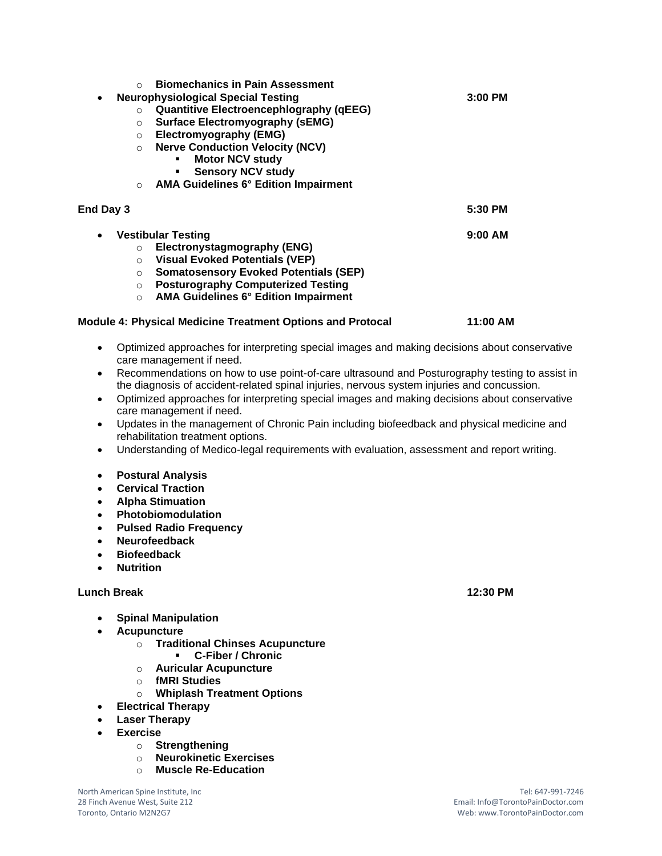| $\bigcirc$ | <b>Biomechanics in Pain Assessment</b>                            |           |
|------------|-------------------------------------------------------------------|-----------|
|            | <b>Neurophysiological Special Testing</b>                         | 3:00 PM   |
| $\circ$    | <b>Quantitive Electroencephlography (qEEG)</b>                    |           |
| $\Omega$   | <b>Surface Electromyography (sEMG)</b>                            |           |
| $\circ$    | Electromyography (EMG)                                            |           |
| $\circ$    | <b>Nerve Conduction Velocity (NCV)</b>                            |           |
|            | <b>Motor NCV study</b>                                            |           |
|            | <b>Sensory NCV study</b>                                          |           |
| $\circ$    | <b>AMA Guidelines 6° Edition Impairment</b>                       |           |
| End Day 3  |                                                                   | 5:30 PM   |
| $\bullet$  | <b>Vestibular Testing</b>                                         | $9:00$ AM |
| $\circ$    | Electronystagmography (ENG)                                       |           |
| $\Omega$   | <b>Visual Evoked Potentials (VEP)</b>                             |           |
| $\Omega$   | <b>Somatosensory Evoked Potentials (SEP)</b>                      |           |
| $\circ$    | <b>Posturography Computerized Testing</b>                         |           |
| $\circ$    | <b>AMA Guidelines 6° Edition Impairment</b>                       |           |
|            | <b>Module 4: Physical Medicine Treatment Options and Protocal</b> | 11:00 AM  |
|            |                                                                   |           |
|            |                                                                   |           |

- Optimized approaches for interpreting special images and making decisions about conservative care management if need.
- Recommendations on how to use point-of-care ultrasound and Posturography testing to assist in the diagnosis of accident-related spinal injuries, nervous system injuries and concussion.
- Optimized approaches for interpreting special images and making decisions about conservative care management if need.
- Updates in the management of Chronic Pain including biofeedback and physical medicine and rehabilitation treatment options.
- Understanding of Medico-legal requirements with evaluation, assessment and report writing.
- **Postural Analysis**
- **Cervical Traction**
- **Alpha Stimuation**
- **Photobiomodulation**
- **Pulsed Radio Frequency**
- **Neurofeedback**
- **Biofeedback**
- **Nutrition**

### **Lunch Break 12:30 PM**

- **Spinal Manipulation**
- **Acupuncture** 
	- o **Traditional Chinses Acupuncture** 
		- **C-Fiber / Chronic**
	- o **Auricular Acupuncture**
	- o **fMRI Studies**
	- o **Whiplash Treatment Options**
- **Electrical Therapy**
- **Laser Therapy**
- **Exercise** 
	- o **Strengthening**
	- o **Neurokinetic Exercises**
	- o **Muscle Re-Education**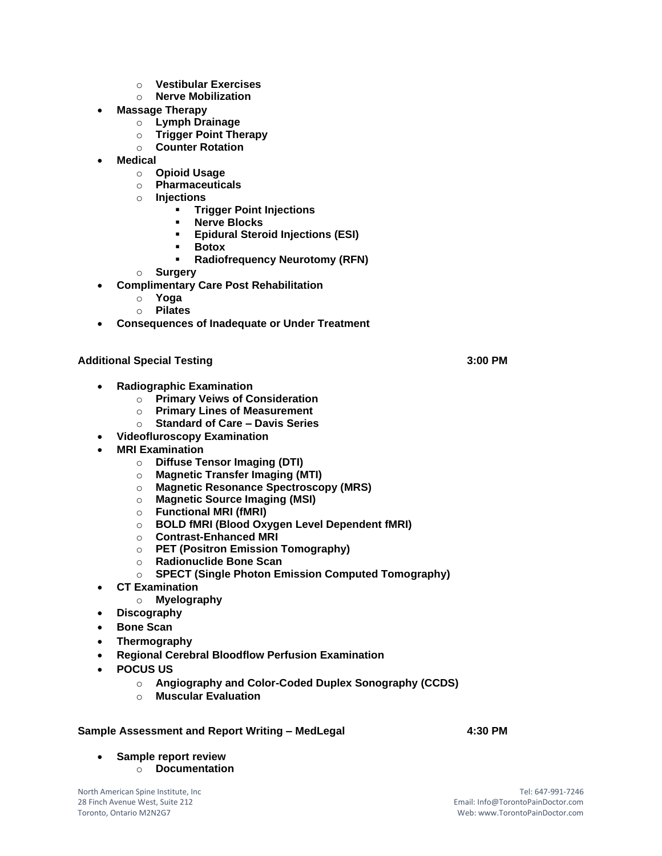- o **Vestibular Exercises**
- o **Nerve Mobilization**
- **Massage Therapy** 
	- o **Lymph Drainage**
	- o **Trigger Point Therapy**
	- o **Counter Rotation**
- **Medical**
	- o **Opioid Usage**
	- o **Pharmaceuticals**
	- o **Injections** 
		- **Trigger Point Injections**
		- **Nerve Blocks**
		- **Epidural Steroid Injections (ESI)**
		- **Botox** 
			- **Radiofrequency Neurotomy (RFN)**
	- o **Surgery**
- **Complimentary Care Post Rehabilitation** 
	- o **Yoga**
	- o **Pilates**
- **Consequences of Inadequate or Under Treatment**

## **Additional Special Testing 3:00 PM**

- **Radiographic Examination** 
	- o **Primary Veiws of Consideration**
	- o **Primary Lines of Measurement**
	- o **Standard of Care – Davis Series**
- **Videofluroscopy Examination**
- **MRI Examination** 
	- o **Diffuse Tensor Imaging (DTI)**
	- o **Magnetic Transfer Imaging (MTI)**
	- o **Magnetic Resonance Spectroscopy (MRS)**
	- o **Magnetic Source Imaging (MSI)**
	- o **Functional MRI (fMRI)**
	- o **BOLD fMRI (Blood Oxygen Level Dependent fMRI)**
	- o **Contrast-Enhanced MRI**
	- o **PET (Positron Emission Tomography)**
	- o **Radionuclide Bone Scan**
	- o **SPECT (Single Photon Emission Computed Tomography)**
- **CT Examination** 
	- o **Myelography**
- **Discography**
- **Bone Scan**
- **Thermography**
- **Regional Cerebral Bloodflow Perfusion Examination**
- **POCUS US**
	- o **Angiography and Color-Coded Duplex Sonography (CCDS)**
	- o **Muscular Evaluation**

## **Sample Assessment and Report Writing – MedLegal 4:30 PM**

- **Sample report review**
	- o **Documentation**